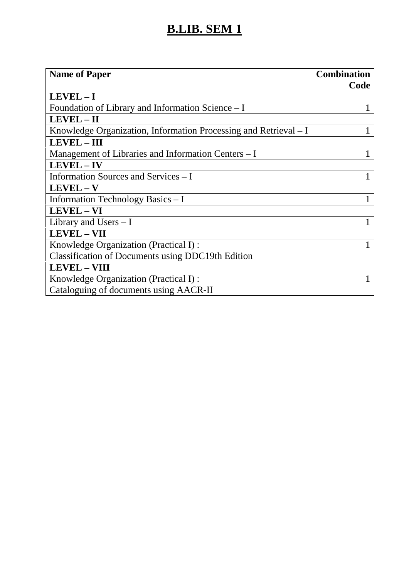## **B.LIB. SEM 1**

| <b>Name of Paper</b>                                             | <b>Combination</b><br>Code |
|------------------------------------------------------------------|----------------------------|
| LEVEL-I                                                          |                            |
| Foundation of Library and Information Science - I                |                            |
| LEVEL - II                                                       |                            |
| Knowledge Organization, Information Processing and Retrieval – I |                            |
| LEVEL - III                                                      |                            |
| Management of Libraries and Information Centers - I              |                            |
| LEVEL - IV                                                       |                            |
| Information Sources and Services – I                             |                            |
| LEVEL-V                                                          |                            |
| Information Technology Basics - I                                |                            |
| <b>LEVEL - VI</b>                                                |                            |
| Library and Users $- I$                                          |                            |
| <b>LEVEL - VII</b>                                               |                            |
| Knowledge Organization (Practical I):                            |                            |
| <b>Classification of Documents using DDC19th Edition</b>         |                            |
| <b>LEVEL - VIII</b>                                              |                            |
| Knowledge Organization (Practical I):                            |                            |
| Cataloguing of documents using AACR-II                           |                            |